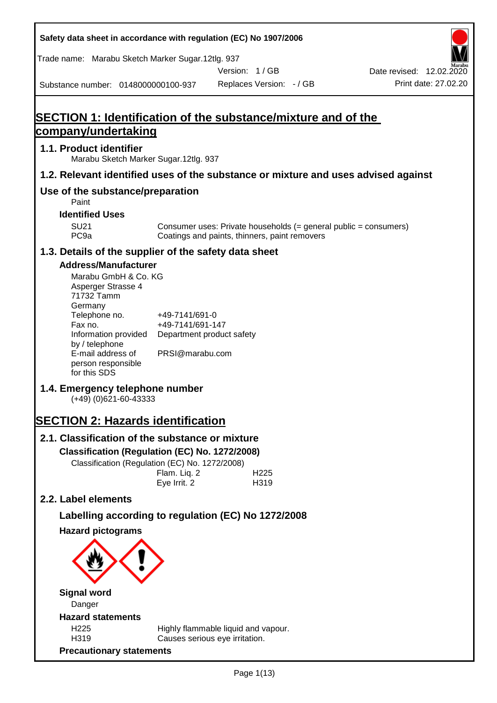**Safety data sheet in accordance with regulation (EC) No 1907/2006** Substance number: 0148000000100-937 Version: 1 / GB Replaces Version: - / GB Print date: 27.02.20 Date revised: 12.02.2020 Trade name: Marabu Sketch Marker Sugar.12tlg. 937 **SECTION 1: Identification of the substance/mixture and of the company/undertaking 1.1. Product identifier** Marabu Sketch Marker Sugar.12tlg. 937 **1.2. Relevant identified uses of the substance or mixture and uses advised against Use of the substance/preparation** Paint **Identified Uses** SU21 Consumer uses: Private households (= general public = consumers)<br>PC9a Coatings and paints, thinners, paint removers Coatings and paints, thinners, paint removers **1.3. Details of the supplier of the safety data sheet Address/Manufacturer** Marabu GmbH & Co. KG Asperger Strasse 4 71732 Tamm **Germany** Telephone no. +49-7141/691-0 Fax no.  $+49-7141/691-147$ Information provided Department product safety by / telephone E-mail address of person responsible for this SDS PRSI@marabu.com **1.4. Emergency telephone number** (+49) (0)621-60-43333 **SECTION 2: Hazards identification 2.1. Classification of the substance or mixture Classification (Regulation (EC) No. 1272/2008)** Classification (Regulation (EC) No. 1272/2008) Flam. Liq. 2 H225 Eye Irrit. 2 H319 **2.2. Label elements Labelling according to regulation (EC) No 1272/2008 Hazard pictograms Signal word** Danger **Hazard statements** H225 Highly flammable liquid and vapour. H319 Causes serious eye irritation. **Precautionary statements**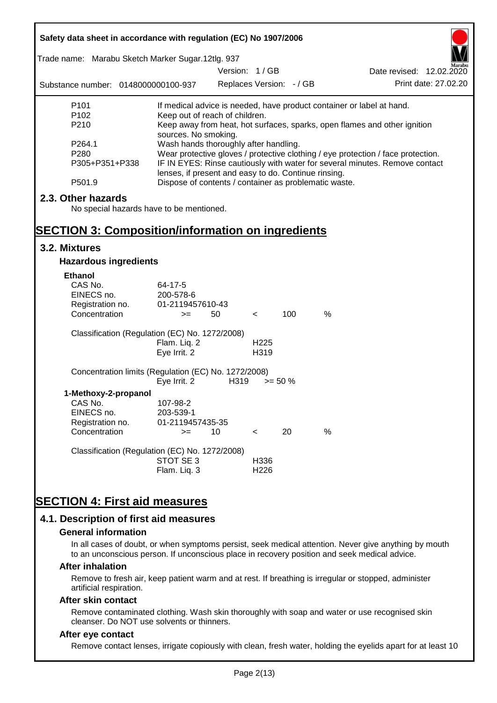| Safety data sheet in accordance with regulation (EC) No 1907/2006 |                                                      |                          |                  |            |                                                                                  |
|-------------------------------------------------------------------|------------------------------------------------------|--------------------------|------------------|------------|----------------------------------------------------------------------------------|
| Trade name: Marabu Sketch Marker Sugar.12tlg. 937                 |                                                      |                          |                  |            |                                                                                  |
|                                                                   |                                                      | Version: 1/GB            |                  |            | Date revised: 12.02.2020                                                         |
| Substance number: 0148000000100-937                               |                                                      | Replaces Version: - / GB |                  |            | Print date: 27.02.20                                                             |
| P <sub>101</sub>                                                  |                                                      |                          |                  |            | If medical advice is needed, have product container or label at hand.            |
| P <sub>102</sub>                                                  | Keep out of reach of children.                       |                          |                  |            |                                                                                  |
| P210                                                              | sources. No smoking.                                 |                          |                  |            | Keep away from heat, hot surfaces, sparks, open flames and other ignition        |
| P264.1                                                            | Wash hands thoroughly after handling.                |                          |                  |            |                                                                                  |
| P280                                                              |                                                      |                          |                  |            | Wear protective gloves / protective clothing / eye protection / face protection. |
| P305+P351+P338                                                    |                                                      |                          |                  |            | IF IN EYES: Rinse cautiously with water for several minutes. Remove contact      |
| P501.9                                                            | lenses, if present and easy to do. Continue rinsing. |                          |                  |            | Dispose of contents / container as problematic waste.                            |
| 2.3. Other hazards                                                |                                                      |                          |                  |            |                                                                                  |
| No special hazards have to be mentioned.                          |                                                      |                          |                  |            |                                                                                  |
|                                                                   |                                                      |                          |                  |            |                                                                                  |
| <b>SECTION 3: Composition/information on ingredients</b>          |                                                      |                          |                  |            |                                                                                  |
| 3.2. Mixtures                                                     |                                                      |                          |                  |            |                                                                                  |
| <b>Hazardous ingredients</b>                                      |                                                      |                          |                  |            |                                                                                  |
| <b>Ethanol</b>                                                    |                                                      |                          |                  |            |                                                                                  |
| CAS No.                                                           | 64-17-5                                              |                          |                  |            |                                                                                  |
| EINECS no.                                                        | 200-578-6                                            |                          |                  |            |                                                                                  |
| Registration no.                                                  | 01-2119457610-43                                     |                          |                  |            |                                                                                  |
| Concentration                                                     | $>=$                                                 | 50                       | $\,<\,$          | 100        | $\%$                                                                             |
| Classification (Regulation (EC) No. 1272/2008)                    |                                                      |                          |                  |            |                                                                                  |
|                                                                   | Flam. Liq. 2                                         |                          | H <sub>225</sub> |            |                                                                                  |
|                                                                   | Eye Irrit. 2                                         |                          | H319             |            |                                                                                  |
| Concentration limits (Regulation (EC) No. 1272/2008)              | Eye Irrit. 2                                         | H319                     |                  | $>= 50 \%$ |                                                                                  |
| 1-Methoxy-2-propanol                                              |                                                      |                          |                  |            |                                                                                  |
| CAS No.                                                           | 107-98-2                                             |                          |                  |            |                                                                                  |
| EINECS no.                                                        | 203-539-1                                            |                          |                  |            |                                                                                  |
| Registration no.                                                  | 01-2119457435-35                                     |                          |                  |            |                                                                                  |
| Concentration                                                     | $>=$                                                 | 10                       | $\,<\,$          | 20         | %                                                                                |
| Classification (Regulation (EC) No. 1272/2008)                    |                                                      |                          |                  |            |                                                                                  |
|                                                                   | STOT SE 3                                            |                          | H336             |            |                                                                                  |
|                                                                   | Flam. Liq. 3                                         |                          | H <sub>226</sub> |            |                                                                                  |
|                                                                   |                                                      |                          |                  |            |                                                                                  |
| <b>SECTION 4: First aid measures</b>                              |                                                      |                          |                  |            |                                                                                  |
| 4.1. Description of first aid measures                            |                                                      |                          |                  |            |                                                                                  |

#### **General information**

In all cases of doubt, or when symptoms persist, seek medical attention. Never give anything by mouth to an unconscious person. If unconscious place in recovery position and seek medical advice.

#### **After inhalation**

Remove to fresh air, keep patient warm and at rest. If breathing is irregular or stopped, administer artificial respiration.

#### **After skin contact**

Remove contaminated clothing. Wash skin thoroughly with soap and water or use recognised skin cleanser. Do NOT use solvents or thinners.

### **After eye contact**

Remove contact lenses, irrigate copiously with clean, fresh water, holding the eyelids apart for at least 10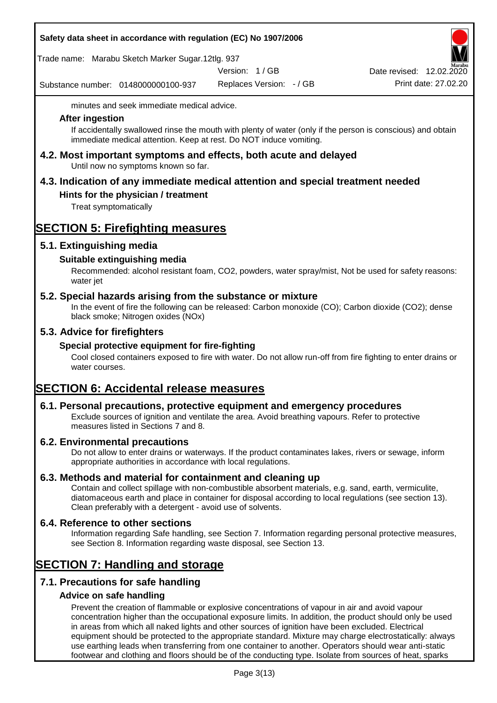### **Safety data sheet in accordance with regulation (EC) No 1907/2006**

Trade name: Marabu Sketch Marker Sugar.12tlg. 937

Version: 1 / GB

Substance number: 0148000000100-937

Replaces Version: - / GB Print date: 27.02.20 Date revised: 12.02.2020

minutes and seek immediate medical advice.

### **After ingestion**

If accidentally swallowed rinse the mouth with plenty of water (only if the person is conscious) and obtain immediate medical attention. Keep at rest. Do NOT induce vomiting.

**4.2. Most important symptoms and effects, both acute and delayed** Until now no symptoms known so far.

# **4.3. Indication of any immediate medical attention and special treatment needed**

## **Hints for the physician / treatment**

Treat symptomatically

# **SECTION 5: Firefighting measures**

## **5.1. Extinguishing media**

## **Suitable extinguishing media**

Recommended: alcohol resistant foam, CO2, powders, water spray/mist, Not be used for safety reasons: water jet

## **5.2. Special hazards arising from the substance or mixture**

In the event of fire the following can be released: Carbon monoxide (CO); Carbon dioxide (CO2); dense black smoke; Nitrogen oxides (NOx)

## **5.3. Advice for firefighters**

### **Special protective equipment for fire-fighting**

Cool closed containers exposed to fire with water. Do not allow run-off from fire fighting to enter drains or water courses.

# **SECTION 6: Accidental release measures**

### **6.1. Personal precautions, protective equipment and emergency procedures**

Exclude sources of ignition and ventilate the area. Avoid breathing vapours. Refer to protective measures listed in Sections 7 and 8.

### **6.2. Environmental precautions**

Do not allow to enter drains or waterways. If the product contaminates lakes, rivers or sewage, inform appropriate authorities in accordance with local regulations.

### **6.3. Methods and material for containment and cleaning up**

Contain and collect spillage with non-combustible absorbent materials, e.g. sand, earth, vermiculite, diatomaceous earth and place in container for disposal according to local regulations (see section 13). Clean preferably with a detergent - avoid use of solvents.

### **6.4. Reference to other sections**

Information regarding Safe handling, see Section 7. Information regarding personal protective measures, see Section 8. Information regarding waste disposal, see Section 13.

# **SECTION 7: Handling and storage**

## **7.1. Precautions for safe handling**

### **Advice on safe handling**

Prevent the creation of flammable or explosive concentrations of vapour in air and avoid vapour concentration higher than the occupational exposure limits. In addition, the product should only be used in areas from which all naked lights and other sources of ignition have been excluded. Electrical equipment should be protected to the appropriate standard. Mixture may charge electrostatically: always use earthing leads when transferring from one container to another. Operators should wear anti-static footwear and clothing and floors should be of the conducting type. Isolate from sources of heat, sparks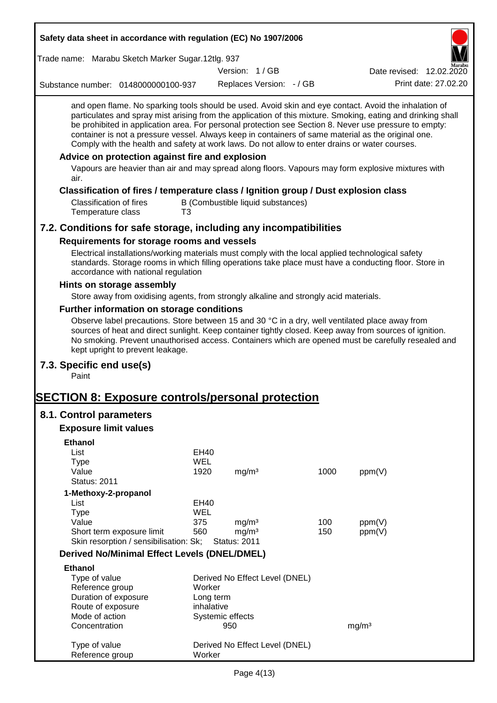| Safety data sheet in accordance with regulation (EC) No 1907/2006                                                                                                                                                                                                                                                                                                                                                                                                                                                                        |                     |                     |                                   |      |                          |                      |
|------------------------------------------------------------------------------------------------------------------------------------------------------------------------------------------------------------------------------------------------------------------------------------------------------------------------------------------------------------------------------------------------------------------------------------------------------------------------------------------------------------------------------------------|---------------------|---------------------|-----------------------------------|------|--------------------------|----------------------|
| Trade name: Marabu Sketch Marker Sugar.12tlg. 937                                                                                                                                                                                                                                                                                                                                                                                                                                                                                        |                     |                     |                                   |      |                          |                      |
|                                                                                                                                                                                                                                                                                                                                                                                                                                                                                                                                          |                     | Version: 1/GB       |                                   |      | Date revised: 12.02.2020 |                      |
| Substance number: 0148000000100-937                                                                                                                                                                                                                                                                                                                                                                                                                                                                                                      |                     |                     | Replaces Version: - / GB          |      |                          | Print date: 27.02.20 |
| and open flame. No sparking tools should be used. Avoid skin and eye contact. Avoid the inhalation of<br>particulates and spray mist arising from the application of this mixture. Smoking, eating and drinking shall<br>be prohibited in application area. For personal protection see Section 8. Never use pressure to empty:<br>container is not a pressure vessel. Always keep in containers of same material as the original one.<br>Comply with the health and safety at work laws. Do not allow to enter drains or water courses. |                     |                     |                                   |      |                          |                      |
| Advice on protection against fire and explosion<br>Vapours are heavier than air and may spread along floors. Vapours may form explosive mixtures with<br>air.                                                                                                                                                                                                                                                                                                                                                                            |                     |                     |                                   |      |                          |                      |
| Classification of fires / temperature class / Ignition group / Dust explosion class                                                                                                                                                                                                                                                                                                                                                                                                                                                      |                     |                     |                                   |      |                          |                      |
| <b>Classification of fires</b><br>Temperature class<br>T3                                                                                                                                                                                                                                                                                                                                                                                                                                                                                |                     |                     | B (Combustible liquid substances) |      |                          |                      |
| 7.2. Conditions for safe storage, including any incompatibilities                                                                                                                                                                                                                                                                                                                                                                                                                                                                        |                     |                     |                                   |      |                          |                      |
| Requirements for storage rooms and vessels                                                                                                                                                                                                                                                                                                                                                                                                                                                                                               |                     |                     |                                   |      |                          |                      |
| Electrical installations/working materials must comply with the local applied technological safety<br>standards. Storage rooms in which filling operations take place must have a conducting floor. Store in<br>accordance with national regulation                                                                                                                                                                                                                                                                                      |                     |                     |                                   |      |                          |                      |
| Hints on storage assembly                                                                                                                                                                                                                                                                                                                                                                                                                                                                                                                |                     |                     |                                   |      |                          |                      |
| Store away from oxidising agents, from strongly alkaline and strongly acid materials.                                                                                                                                                                                                                                                                                                                                                                                                                                                    |                     |                     |                                   |      |                          |                      |
| Further information on storage conditions<br>Observe label precautions. Store between 15 and 30 °C in a dry, well ventilated place away from<br>sources of heat and direct sunlight. Keep container tightly closed. Keep away from sources of ignition.<br>No smoking. Prevent unauthorised access. Containers which are opened must be carefully resealed and<br>kept upright to prevent leakage.                                                                                                                                       |                     |                     |                                   |      |                          |                      |
| 7.3. Specific end use(s)<br>Paint                                                                                                                                                                                                                                                                                                                                                                                                                                                                                                        |                     |                     |                                   |      |                          |                      |
| <b>SECTION 8: Exposure controls/personal protection</b>                                                                                                                                                                                                                                                                                                                                                                                                                                                                                  |                     |                     |                                   |      |                          |                      |
| 8.1. Control parameters                                                                                                                                                                                                                                                                                                                                                                                                                                                                                                                  |                     |                     |                                   |      |                          |                      |
| <b>Exposure limit values</b>                                                                                                                                                                                                                                                                                                                                                                                                                                                                                                             |                     |                     |                                   |      |                          |                      |
| <b>Ethanol</b>                                                                                                                                                                                                                                                                                                                                                                                                                                                                                                                           |                     |                     |                                   |      |                          |                      |
| List                                                                                                                                                                                                                                                                                                                                                                                                                                                                                                                                     | <b>EH40</b>         |                     |                                   |      |                          |                      |
| <b>Type</b>                                                                                                                                                                                                                                                                                                                                                                                                                                                                                                                              | <b>WEL</b>          |                     |                                   |      |                          |                      |
| Value<br><b>Status: 2011</b>                                                                                                                                                                                                                                                                                                                                                                                                                                                                                                             | 1920                | mg/m <sup>3</sup>   |                                   | 1000 | ppm(V)                   |                      |
|                                                                                                                                                                                                                                                                                                                                                                                                                                                                                                                                          |                     |                     |                                   |      |                          |                      |
| 1-Methoxy-2-propanol<br>List                                                                                                                                                                                                                                                                                                                                                                                                                                                                                                             | EH40                |                     |                                   |      |                          |                      |
| <b>Type</b>                                                                                                                                                                                                                                                                                                                                                                                                                                                                                                                              | WEL                 |                     |                                   |      |                          |                      |
| Value                                                                                                                                                                                                                                                                                                                                                                                                                                                                                                                                    | 375                 | mg/m <sup>3</sup>   |                                   | 100  | ppm(V)                   |                      |
| Short term exposure limit                                                                                                                                                                                                                                                                                                                                                                                                                                                                                                                | 560                 | mg/m <sup>3</sup>   |                                   | 150  | ppm(V)                   |                      |
| Skin resorption / sensibilisation: Sk;                                                                                                                                                                                                                                                                                                                                                                                                                                                                                                   |                     | <b>Status: 2011</b> |                                   |      |                          |                      |
| <b>Derived No/Minimal Effect Levels (DNEL/DMEL)</b>                                                                                                                                                                                                                                                                                                                                                                                                                                                                                      |                     |                     |                                   |      |                          |                      |
| <b>Ethanol</b>                                                                                                                                                                                                                                                                                                                                                                                                                                                                                                                           |                     |                     |                                   |      |                          |                      |
| Type of value                                                                                                                                                                                                                                                                                                                                                                                                                                                                                                                            |                     |                     | Derived No Effect Level (DNEL)    |      |                          |                      |
| Reference group<br>Duration of exposure                                                                                                                                                                                                                                                                                                                                                                                                                                                                                                  | Worker<br>Long term |                     |                                   |      |                          |                      |
| Route of exposure                                                                                                                                                                                                                                                                                                                                                                                                                                                                                                                        | inhalative          |                     |                                   |      |                          |                      |
| Mode of action                                                                                                                                                                                                                                                                                                                                                                                                                                                                                                                           |                     | Systemic effects    |                                   |      |                          |                      |
| Concentration                                                                                                                                                                                                                                                                                                                                                                                                                                                                                                                            |                     | 950                 |                                   |      | mg/m <sup>3</sup>        |                      |
| Type of value<br>Reference group                                                                                                                                                                                                                                                                                                                                                                                                                                                                                                         | Worker              |                     | Derived No Effect Level (DNEL)    |      |                          |                      |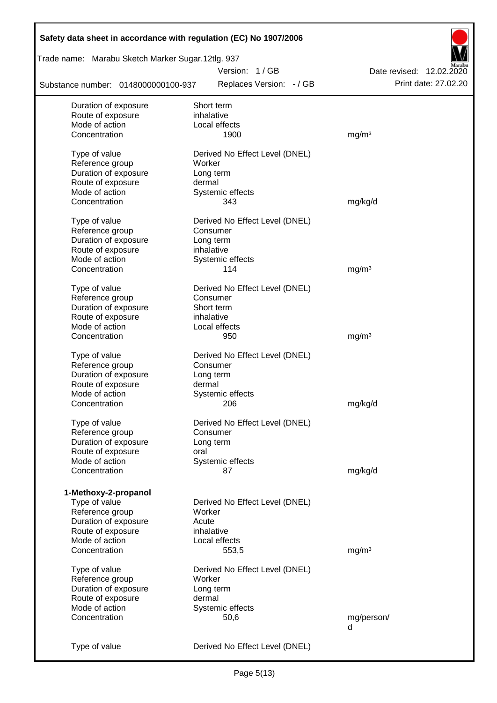| Safety data sheet in accordance with regulation (EC) No 1907/2006 |                                          |                          |
|-------------------------------------------------------------------|------------------------------------------|--------------------------|
| Trade name: Marabu Sketch Marker Sugar.12tlg. 937                 |                                          |                          |
|                                                                   | Version: 1/GB                            | Date revised: 12.02.2020 |
| Substance number: 0148000000100-937                               | Replaces Version: - / GB                 | Print date: 27.02.20     |
| Duration of exposure                                              | Short term                               |                          |
| Route of exposure                                                 | inhalative                               |                          |
| Mode of action                                                    | Local effects                            |                          |
| Concentration                                                     | 1900                                     | mg/m <sup>3</sup>        |
| Type of value                                                     | Derived No Effect Level (DNEL)           |                          |
| Reference group                                                   | Worker                                   |                          |
| Duration of exposure                                              | Long term                                |                          |
| Route of exposure                                                 | dermal                                   |                          |
| Mode of action                                                    | Systemic effects                         |                          |
| Concentration                                                     | 343                                      | mg/kg/d                  |
| Type of value                                                     | Derived No Effect Level (DNEL)           |                          |
| Reference group                                                   | Consumer                                 |                          |
| Duration of exposure                                              | Long term                                |                          |
| Route of exposure                                                 | inhalative                               |                          |
| Mode of action                                                    | Systemic effects                         |                          |
| Concentration                                                     | 114                                      | mg/m <sup>3</sup>        |
| Type of value                                                     | Derived No Effect Level (DNEL)           |                          |
| Reference group                                                   | Consumer                                 |                          |
| Duration of exposure                                              | Short term                               |                          |
| Route of exposure                                                 | inhalative                               |                          |
| Mode of action                                                    | Local effects                            |                          |
| Concentration                                                     | 950                                      | mg/m <sup>3</sup>        |
|                                                                   |                                          |                          |
| Type of value                                                     | Derived No Effect Level (DNEL)           |                          |
| Reference group                                                   | Consumer                                 |                          |
| Duration of exposure                                              | Long term                                |                          |
| Route of exposure                                                 | dermal                                   |                          |
| Mode of action                                                    | Systemic effects                         |                          |
| Concentration                                                     | 206                                      | mg/kg/d                  |
| Type of value                                                     | Derived No Effect Level (DNEL)           |                          |
| Reference group                                                   | Consumer                                 |                          |
| Duration of exposure                                              | Long term                                |                          |
| Route of exposure                                                 | oral                                     |                          |
| Mode of action                                                    | Systemic effects                         |                          |
| Concentration                                                     | 87                                       | mg/kg/d                  |
| 1-Methoxy-2-propanol                                              |                                          |                          |
| Type of value                                                     | Derived No Effect Level (DNEL)           |                          |
| Reference group                                                   | Worker                                   |                          |
| Duration of exposure                                              | Acute                                    |                          |
| Route of exposure                                                 | inhalative                               |                          |
| Mode of action                                                    | Local effects                            |                          |
| Concentration                                                     | 553,5                                    | mg/m <sup>3</sup>        |
|                                                                   |                                          |                          |
| Type of value                                                     | Derived No Effect Level (DNEL)<br>Worker |                          |
| Reference group                                                   |                                          |                          |
| Duration of exposure<br>Route of exposure                         | Long term<br>dermal                      |                          |
| Mode of action                                                    |                                          |                          |
| Concentration                                                     | Systemic effects<br>50,6                 | mg/person/               |
|                                                                   |                                          | d                        |
|                                                                   |                                          |                          |
| Type of value                                                     | Derived No Effect Level (DNEL)           |                          |
|                                                                   |                                          |                          |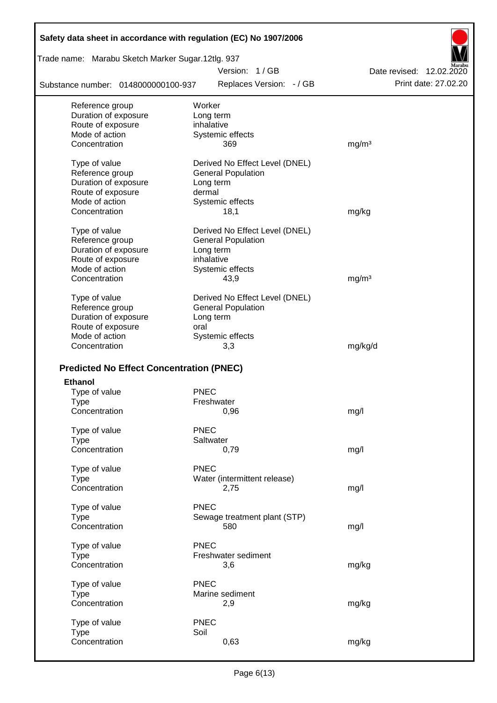| Safety data sheet in accordance with regulation (EC) No 1907/2006 |                                |                          |
|-------------------------------------------------------------------|--------------------------------|--------------------------|
| Trade name: Marabu Sketch Marker Sugar.12tlg. 937                 |                                |                          |
|                                                                   | Version: 1/GB                  | Date revised: 12.02.2020 |
| Substance number: 0148000000100-937                               | Replaces Version: - / GB       | Print date: 27.02.20     |
| Reference group                                                   | Worker                         |                          |
| Duration of exposure                                              | Long term                      |                          |
| Route of exposure                                                 | inhalative                     |                          |
| Mode of action                                                    | Systemic effects               |                          |
| Concentration                                                     | 369                            | mg/m <sup>3</sup>        |
| Type of value                                                     | Derived No Effect Level (DNEL) |                          |
| Reference group                                                   | <b>General Population</b>      |                          |
| Duration of exposure                                              | Long term                      |                          |
| Route of exposure                                                 | dermal                         |                          |
| Mode of action                                                    | Systemic effects               |                          |
| Concentration                                                     | 18,1                           | mg/kg                    |
| Type of value                                                     | Derived No Effect Level (DNEL) |                          |
| Reference group                                                   | <b>General Population</b>      |                          |
| Duration of exposure                                              | Long term                      |                          |
| Route of exposure                                                 | inhalative                     |                          |
| Mode of action                                                    | Systemic effects               |                          |
| Concentration                                                     | 43,9                           | mg/m <sup>3</sup>        |
| Type of value                                                     | Derived No Effect Level (DNEL) |                          |
| Reference group                                                   | <b>General Population</b>      |                          |
| Duration of exposure                                              | Long term                      |                          |
| Route of exposure                                                 | oral                           |                          |
| Mode of action                                                    | Systemic effects               |                          |
| Concentration                                                     | 3,3                            | mg/kg/d                  |
|                                                                   |                                |                          |
| <b>Predicted No Effect Concentration (PNEC)</b>                   |                                |                          |
| <b>Ethanol</b>                                                    |                                |                          |
| Type of value                                                     | <b>PNEC</b>                    |                          |
| Type                                                              | Freshwater                     |                          |
| Concentration                                                     | 0,96                           | mg/l                     |
| Type of value                                                     | <b>PNEC</b>                    |                          |
| <b>Type</b>                                                       | Saltwater                      |                          |
| Concentration                                                     | 0,79                           | mg/l                     |
| Type of value                                                     | PNEC                           |                          |
| <b>Type</b>                                                       | Water (intermittent release)   |                          |
| Concentration                                                     | 2,75                           | mg/l                     |
| Type of value                                                     | <b>PNEC</b>                    |                          |
| <b>Type</b>                                                       | Sewage treatment plant (STP)   |                          |
| Concentration                                                     | 580                            | mg/l                     |
| Type of value                                                     | <b>PNEC</b>                    |                          |
| <b>Type</b>                                                       | Freshwater sediment            |                          |
| Concentration                                                     | 3,6                            | mg/kg                    |
|                                                                   |                                |                          |
| Type of value                                                     | <b>PNEC</b>                    |                          |
| <b>Type</b>                                                       | Marine sediment                |                          |
| Concentration                                                     | 2,9                            | mg/kg                    |
| Type of value                                                     | <b>PNEC</b>                    |                          |
| <b>Type</b>                                                       | Soil                           |                          |
| Concentration                                                     | 0,63                           | mg/kg                    |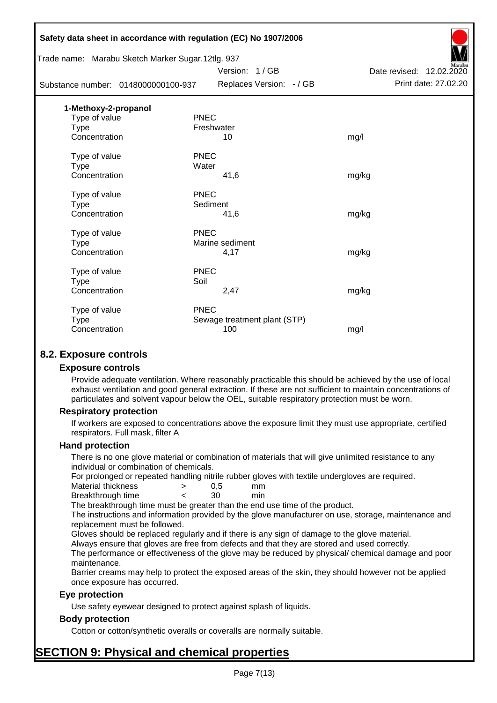|                                     | Safety data sheet in accordance with regulation (EC) No 1907/2006 |                              |                          |
|-------------------------------------|-------------------------------------------------------------------|------------------------------|--------------------------|
|                                     | Trade name: Marabu Sketch Marker Sugar.12tlg. 937                 |                              |                          |
|                                     |                                                                   | Version: 1/GB                | Date revised: 12.02.2020 |
| Substance number: 0148000000100-937 |                                                                   | Replaces Version: - / GB     | Print date: 27.02.20     |
| 1-Methoxy-2-propanol                |                                                                   |                              |                          |
| Type of value                       | <b>PNEC</b>                                                       |                              |                          |
| <b>Type</b>                         | Freshwater                                                        |                              |                          |
| Concentration                       |                                                                   | 10                           | mg/l                     |
| Type of value                       | <b>PNEC</b>                                                       |                              |                          |
| <b>Type</b>                         | Water                                                             |                              |                          |
| Concentration                       |                                                                   | 41,6                         | mg/kg                    |
| Type of value                       | <b>PNEC</b>                                                       |                              |                          |
| <b>Type</b>                         | Sediment                                                          |                              |                          |
| Concentration                       |                                                                   | 41,6                         | mg/kg                    |
| Type of value                       | <b>PNEC</b>                                                       |                              |                          |
| <b>Type</b>                         |                                                                   | Marine sediment              |                          |
| Concentration                       |                                                                   | 4,17                         | mg/kg                    |
| Type of value                       | <b>PNEC</b>                                                       |                              |                          |
| <b>Type</b>                         | Soil                                                              |                              |                          |
| Concentration                       |                                                                   | 2,47                         | mg/kg                    |
| Type of value                       | <b>PNEC</b>                                                       |                              |                          |
| <b>Type</b>                         |                                                                   | Sewage treatment plant (STP) |                          |
| Concentration                       |                                                                   | 100                          | mg/l                     |
|                                     |                                                                   |                              |                          |

## **8.2. Exposure controls**

### **Exposure controls**

Provide adequate ventilation. Where reasonably practicable this should be achieved by the use of local exhaust ventilation and good general extraction. If these are not sufficient to maintain concentrations of particulates and solvent vapour below the OEL, suitable respiratory protection must be worn.

### **Respiratory protection**

If workers are exposed to concentrations above the exposure limit they must use appropriate, certified respirators. Full mask, filter A

#### **Hand protection**

There is no one glove material or combination of materials that will give unlimited resistance to any individual or combination of chemicals.

For prolonged or repeated handling nitrile rubber gloves with textile undergloves are required.

| Material thickness | 0.5 | mm  |
|--------------------|-----|-----|
| Breakthrough time  | 30  | min |

The breakthrough time must be greater than the end use time of the product.

The instructions and information provided by the glove manufacturer on use, storage, maintenance and replacement must be followed.

Gloves should be replaced regularly and if there is any sign of damage to the glove material.

Always ensure that gloves are free from defects and that they are stored and used correctly.

The performance or effectiveness of the glove may be reduced by physical/ chemical damage and poor maintenance.

Barrier creams may help to protect the exposed areas of the skin, they should however not be applied once exposure has occurred.

### **Eye protection**

Use safety eyewear designed to protect against splash of liquids.

### **Body protection**

Cotton or cotton/synthetic overalls or coveralls are normally suitable.

# **SECTION 9: Physical and chemical properties**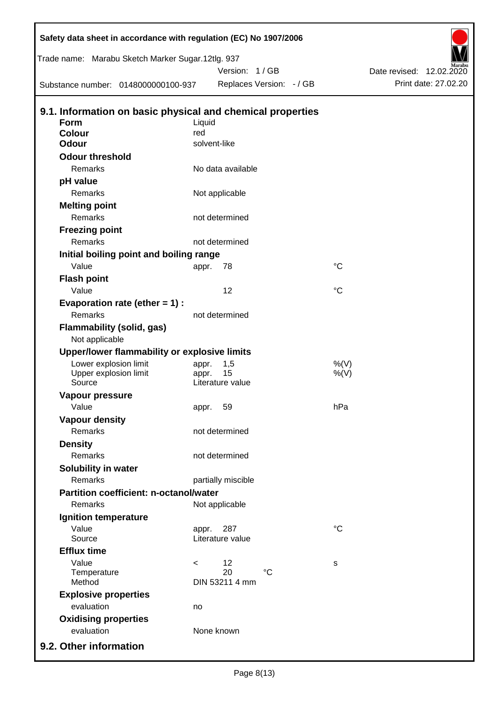| Trade name: Marabu Sketch Marker Sugar.12tlg. 937                         |                          |                    |                          |                    |                          |                      |
|---------------------------------------------------------------------------|--------------------------|--------------------|--------------------------|--------------------|--------------------------|----------------------|
|                                                                           |                          | Version: 1/GB      |                          |                    | Date revised: 12.02.2020 |                      |
| Substance number: 0148000000100-937                                       |                          |                    | Replaces Version: - / GB |                    |                          | Print date: 27.02.20 |
|                                                                           |                          |                    |                          |                    |                          |                      |
| 9.1. Information on basic physical and chemical properties<br><b>Form</b> | Liquid                   |                    |                          |                    |                          |                      |
| <b>Colour</b>                                                             | red                      |                    |                          |                    |                          |                      |
| <b>Odour</b>                                                              | solvent-like             |                    |                          |                    |                          |                      |
| <b>Odour threshold</b>                                                    |                          |                    |                          |                    |                          |                      |
| Remarks                                                                   |                          | No data available  |                          |                    |                          |                      |
| pH value                                                                  |                          |                    |                          |                    |                          |                      |
| Remarks                                                                   |                          | Not applicable     |                          |                    |                          |                      |
| <b>Melting point</b>                                                      |                          |                    |                          |                    |                          |                      |
| Remarks                                                                   |                          | not determined     |                          |                    |                          |                      |
| <b>Freezing point</b>                                                     |                          |                    |                          |                    |                          |                      |
| Remarks                                                                   |                          | not determined     |                          |                    |                          |                      |
| Initial boiling point and boiling range                                   |                          |                    |                          |                    |                          |                      |
| Value                                                                     | appr.                    | 78                 |                          | $^{\circ}C$        |                          |                      |
| <b>Flash point</b>                                                        |                          |                    |                          |                    |                          |                      |
| Value                                                                     |                          | 12                 |                          | $^{\circ}C$        |                          |                      |
| Evaporation rate (ether $= 1$ ) :                                         |                          |                    |                          |                    |                          |                      |
| Remarks                                                                   |                          | not determined     |                          |                    |                          |                      |
| <b>Flammability (solid, gas)</b>                                          |                          |                    |                          |                    |                          |                      |
| Not applicable                                                            |                          |                    |                          |                    |                          |                      |
| Upper/lower flammability or explosive limits                              |                          |                    |                          |                    |                          |                      |
| Lower explosion limit<br>Upper explosion limit                            | appr.<br>appr.           | 1,5<br>15          |                          | $%$ (V)<br>$%$ (V) |                          |                      |
| Source                                                                    |                          | Literature value   |                          |                    |                          |                      |
| Vapour pressure                                                           |                          |                    |                          |                    |                          |                      |
| Value                                                                     | appr.                    | 59                 |                          | hPa                |                          |                      |
| <b>Vapour density</b>                                                     |                          |                    |                          |                    |                          |                      |
| Remarks                                                                   |                          | not determined     |                          |                    |                          |                      |
| <b>Density</b>                                                            |                          |                    |                          |                    |                          |                      |
| Remarks                                                                   |                          | not determined     |                          |                    |                          |                      |
| Solubility in water                                                       |                          |                    |                          |                    |                          |                      |
| Remarks                                                                   |                          | partially miscible |                          |                    |                          |                      |
| <b>Partition coefficient: n-octanol/water</b>                             |                          |                    |                          |                    |                          |                      |
| <b>Remarks</b>                                                            |                          | Not applicable     |                          |                    |                          |                      |
| Ignition temperature                                                      |                          |                    |                          |                    |                          |                      |
| Value                                                                     | appr.                    | 287                |                          | $^{\circ}C$        |                          |                      |
| Source                                                                    |                          | Literature value   |                          |                    |                          |                      |
| <b>Efflux time</b>                                                        |                          |                    |                          |                    |                          |                      |
| Value                                                                     | $\overline{\phantom{0}}$ | 12<br>20           | $^{\circ}C$              | s                  |                          |                      |
| Temperature<br>Method                                                     |                          | DIN 53211 4 mm     |                          |                    |                          |                      |
| <b>Explosive properties</b>                                               |                          |                    |                          |                    |                          |                      |
| evaluation                                                                | no                       |                    |                          |                    |                          |                      |
| <b>Oxidising properties</b>                                               |                          |                    |                          |                    |                          |                      |
| evaluation                                                                |                          | None known         |                          |                    |                          |                      |
| 9.2. Other information                                                    |                          |                    |                          |                    |                          |                      |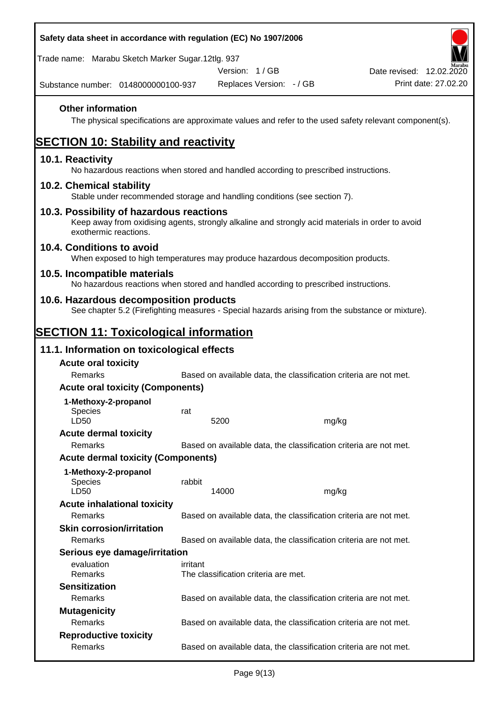| Safety data sheet in accordance with regulation (EC) No 1907/2006                                                                                                     |          |                                      |                                                                   |                                                                                                        |  |
|-----------------------------------------------------------------------------------------------------------------------------------------------------------------------|----------|--------------------------------------|-------------------------------------------------------------------|--------------------------------------------------------------------------------------------------------|--|
| Trade name: Marabu Sketch Marker Sugar.12tlg. 937                                                                                                                     |          |                                      |                                                                   |                                                                                                        |  |
|                                                                                                                                                                       |          | Version: 1/GB                        |                                                                   | Date revised: 12.02.2020                                                                               |  |
| Substance number: 0148000000100-937                                                                                                                                   |          | Replaces Version: - / GB             |                                                                   | Print date: 27.02.20                                                                                   |  |
| <b>Other information</b>                                                                                                                                              |          |                                      |                                                                   | The physical specifications are approximate values and refer to the used safety relevant component(s). |  |
| <b>SECTION 10: Stability and reactivity</b>                                                                                                                           |          |                                      |                                                                   |                                                                                                        |  |
| 10.1. Reactivity<br>No hazardous reactions when stored and handled according to prescribed instructions.                                                              |          |                                      |                                                                   |                                                                                                        |  |
| 10.2. Chemical stability<br>Stable under recommended storage and handling conditions (see section 7).                                                                 |          |                                      |                                                                   |                                                                                                        |  |
| 10.3. Possibility of hazardous reactions<br>Keep away from oxidising agents, strongly alkaline and strongly acid materials in order to avoid<br>exothermic reactions. |          |                                      |                                                                   |                                                                                                        |  |
| 10.4. Conditions to avoid<br>When exposed to high temperatures may produce hazardous decomposition products.                                                          |          |                                      |                                                                   |                                                                                                        |  |
| 10.5. Incompatible materials<br>No hazardous reactions when stored and handled according to prescribed instructions.                                                  |          |                                      |                                                                   |                                                                                                        |  |
| 10.6. Hazardous decomposition products<br>See chapter 5.2 (Firefighting measures - Special hazards arising from the substance or mixture).                            |          |                                      |                                                                   |                                                                                                        |  |
| <b>SECTION 11: Toxicological information</b>                                                                                                                          |          |                                      |                                                                   |                                                                                                        |  |
| 11.1. Information on toxicological effects                                                                                                                            |          |                                      |                                                                   |                                                                                                        |  |
| <b>Acute oral toxicity</b>                                                                                                                                            |          |                                      |                                                                   |                                                                                                        |  |
| Remarks                                                                                                                                                               |          |                                      | Based on available data, the classification criteria are not met. |                                                                                                        |  |
| <b>Acute oral toxicity (Components)</b>                                                                                                                               |          |                                      |                                                                   |                                                                                                        |  |
| 1-Methoxy-2-propanol                                                                                                                                                  |          |                                      |                                                                   |                                                                                                        |  |
| <b>Species</b><br>LD50                                                                                                                                                | rat      | 5200                                 | mg/kg                                                             |                                                                                                        |  |
| <b>Acute dermal toxicity</b>                                                                                                                                          |          |                                      |                                                                   |                                                                                                        |  |
| Remarks                                                                                                                                                               |          |                                      | Based on available data, the classification criteria are not met. |                                                                                                        |  |
| <b>Acute dermal toxicity (Components)</b>                                                                                                                             |          |                                      |                                                                   |                                                                                                        |  |
| 1-Methoxy-2-propanol<br>Species<br>LD50                                                                                                                               | rabbit   | 14000                                | mg/kg                                                             |                                                                                                        |  |
| <b>Acute inhalational toxicity</b>                                                                                                                                    |          |                                      |                                                                   |                                                                                                        |  |
| Remarks                                                                                                                                                               |          |                                      | Based on available data, the classification criteria are not met. |                                                                                                        |  |
| <b>Skin corrosion/irritation</b>                                                                                                                                      |          |                                      |                                                                   |                                                                                                        |  |
| Remarks                                                                                                                                                               |          |                                      | Based on available data, the classification criteria are not met. |                                                                                                        |  |
| Serious eye damage/irritation                                                                                                                                         |          |                                      |                                                                   |                                                                                                        |  |
| evaluation<br>Remarks                                                                                                                                                 | irritant | The classification criteria are met. |                                                                   |                                                                                                        |  |
| <b>Sensitization</b>                                                                                                                                                  |          |                                      |                                                                   |                                                                                                        |  |
| <b>Remarks</b>                                                                                                                                                        |          |                                      | Based on available data, the classification criteria are not met. |                                                                                                        |  |
| <b>Mutagenicity</b><br>Remarks                                                                                                                                        |          |                                      |                                                                   |                                                                                                        |  |
| <b>Reproductive toxicity</b>                                                                                                                                          |          |                                      | Based on available data, the classification criteria are not met. |                                                                                                        |  |
| Remarks                                                                                                                                                               |          |                                      | Based on available data, the classification criteria are not met. |                                                                                                        |  |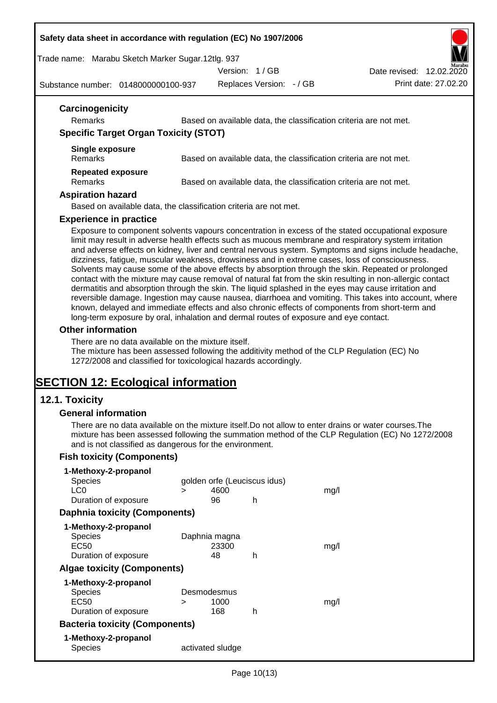#### **Safety data sheet in accordance with regulation (EC) No 1907/2006**

Trade name: Marabu Sketch Marker Sugar.12tlg. 937

Version: 1 / GB

Substance number: 0148000000100-937

Replaces Version: - / GB Print date: 27.02.20 Date revised: 12.02.2020

| Remarks                                      | Based on available data, the classification criteria are not met. |
|----------------------------------------------|-------------------------------------------------------------------|
| <b>Specific Target Organ Toxicity (STOT)</b> |                                                                   |
| Single exposure                              |                                                                   |
| <b>Remarks</b>                               | Based on available data, the classification criteria are not met. |
| <b>Repeated exposure</b>                     |                                                                   |
| <b>Remarks</b>                               | Based on available data, the classification criteria are not met. |

#### **Experience in practice**

Exposure to component solvents vapours concentration in excess of the stated occupational exposure limit may result in adverse health effects such as mucous membrane and respiratory system irritation and adverse effects on kidney, liver and central nervous system. Symptoms and signs include headache, dizziness, fatigue, muscular weakness, drowsiness and in extreme cases, loss of consciousness. Solvents may cause some of the above effects by absorption through the skin. Repeated or prolonged contact with the mixture may cause removal of natural fat from the skin resulting in non-allergic contact dermatitis and absorption through the skin. The liquid splashed in the eyes may cause irritation and reversible damage. Ingestion may cause nausea, diarrhoea and vomiting. This takes into account, where known, delayed and immediate effects and also chronic effects of components from short-term and long-term exposure by oral, inhalation and dermal routes of exposure and eye contact.

#### **Other information**

There are no data available on the mixture itself.

The mixture has been assessed following the additivity method of the CLP Regulation (EC) No 1272/2008 and classified for toxicological hazards accordingly.

# **SECTION 12: Ecological information**

### **12.1. Toxicity**

#### **General information**

There are no data available on the mixture itself.Do not allow to enter drains or water courses.The mixture has been assessed following the summation method of the CLP Regulation (EC) No 1272/2008 and is not classified as dangerous for the environment.

### **Fish toxicity (Components)**

| 1-Methoxy-2-propanol                  |                              |                  |   |      |
|---------------------------------------|------------------------------|------------------|---|------|
| Species                               | golden orfe (Leuciscus idus) |                  |   |      |
| LC <sub>0</sub>                       | ⋗                            | 4600             |   | mq/l |
| Duration of exposure                  |                              | 96               | h |      |
| <b>Daphnia toxicity (Components)</b>  |                              |                  |   |      |
| 1-Methoxy-2-propanol                  |                              |                  |   |      |
| <b>Species</b>                        |                              | Daphnia magna    |   |      |
| EC50                                  |                              | 23300            |   | mq/l |
| Duration of exposure                  |                              | 48               | h |      |
| <b>Algae toxicity (Components)</b>    |                              |                  |   |      |
| 1-Methoxy-2-propanol                  |                              |                  |   |      |
| Species                               |                              | Desmodesmus      |   |      |
| EC50                                  | >                            | 1000             |   | mq/l |
| Duration of exposure                  |                              | 168              | h |      |
| <b>Bacteria toxicity (Components)</b> |                              |                  |   |      |
| 1-Methoxy-2-propanol                  |                              |                  |   |      |
| Species                               |                              | activated sludge |   |      |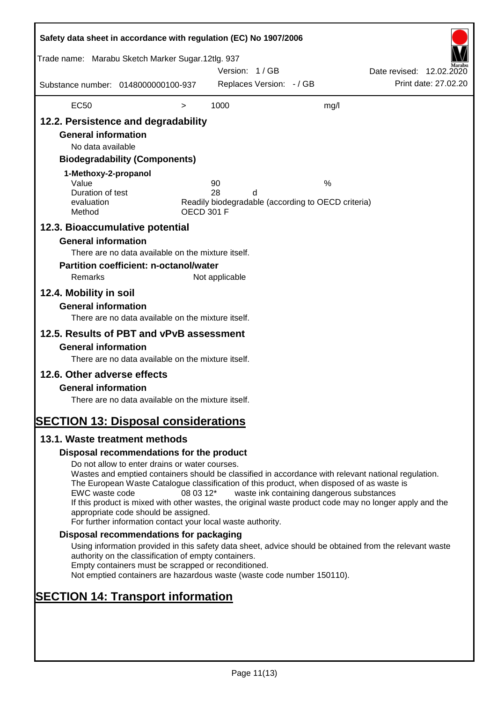| Safety data sheet in accordance with regulation (EC) No 1907/2006                                                                                                   |                                                                                                                                                                                                                                                                                                                                                                                                                                                                      |                   |                |                          |                                                         |                          |                      |
|---------------------------------------------------------------------------------------------------------------------------------------------------------------------|----------------------------------------------------------------------------------------------------------------------------------------------------------------------------------------------------------------------------------------------------------------------------------------------------------------------------------------------------------------------------------------------------------------------------------------------------------------------|-------------------|----------------|--------------------------|---------------------------------------------------------|--------------------------|----------------------|
| Trade name: Marabu Sketch Marker Sugar.12tlg. 937                                                                                                                   |                                                                                                                                                                                                                                                                                                                                                                                                                                                                      |                   | Version: 1/GB  |                          |                                                         | Date revised: 12.02.2020 |                      |
| Substance number: 0148000000100-937                                                                                                                                 |                                                                                                                                                                                                                                                                                                                                                                                                                                                                      |                   |                | Replaces Version: - / GB |                                                         |                          | Print date: 27.02.20 |
| <b>EC50</b>                                                                                                                                                         |                                                                                                                                                                                                                                                                                                                                                                                                                                                                      | $\, > \,$         | 1000           |                          | mg/l                                                    |                          |                      |
| 12.2. Persistence and degradability<br><b>General information</b><br>No data available<br>1-Methoxy-2-propanol<br>Value<br>Duration of test<br>evaluation<br>Method | <b>Biodegradability (Components)</b>                                                                                                                                                                                                                                                                                                                                                                                                                                 | <b>OECD 301 F</b> | 90<br>28       | d                        | %<br>Readily biodegradable (according to OECD criteria) |                          |                      |
| 12.3. Bioaccumulative potential<br><b>General information</b><br>Remarks<br>12.4. Mobility in soil<br><b>General information</b>                                    | There are no data available on the mixture itself.<br><b>Partition coefficient: n-octanol/water</b><br>There are no data available on the mixture itself.                                                                                                                                                                                                                                                                                                            |                   | Not applicable |                          |                                                         |                          |                      |
| 12.5. Results of PBT and vPvB assessment<br><b>General information</b><br>12.6. Other adverse effects                                                               | There are no data available on the mixture itself.                                                                                                                                                                                                                                                                                                                                                                                                                   |                   |                |                          |                                                         |                          |                      |
| <b>General information</b><br><b>SECTION 13: Disposal considerations</b>                                                                                            | There are no data available on the mixture itself.                                                                                                                                                                                                                                                                                                                                                                                                                   |                   |                |                          |                                                         |                          |                      |
| 13.1. Waste treatment methods                                                                                                                                       |                                                                                                                                                                                                                                                                                                                                                                                                                                                                      |                   |                |                          |                                                         |                          |                      |
|                                                                                                                                                                     | Disposal recommendations for the product                                                                                                                                                                                                                                                                                                                                                                                                                             |                   |                |                          |                                                         |                          |                      |
| EWC waste code                                                                                                                                                      | Do not allow to enter drains or water courses.<br>Wastes and emptied containers should be classified in accordance with relevant national regulation.<br>The European Waste Catalogue classification of this product, when disposed of as waste is<br>If this product is mixed with other wastes, the original waste product code may no longer apply and the<br>appropriate code should be assigned.<br>For further information contact your local waste authority. | 08 03 12*         |                |                          | waste ink containing dangerous substances               |                          |                      |
|                                                                                                                                                                     | Disposal recommendations for packaging                                                                                                                                                                                                                                                                                                                                                                                                                               |                   |                |                          |                                                         |                          |                      |
|                                                                                                                                                                     | Using information provided in this safety data sheet, advice should be obtained from the relevant waste<br>authority on the classification of empty containers.<br>Empty containers must be scrapped or reconditioned.<br>Not emptied containers are hazardous waste (waste code number 150110).                                                                                                                                                                     |                   |                |                          |                                                         |                          |                      |
| <b>SECTION 14: Transport information</b>                                                                                                                            |                                                                                                                                                                                                                                                                                                                                                                                                                                                                      |                   |                |                          |                                                         |                          |                      |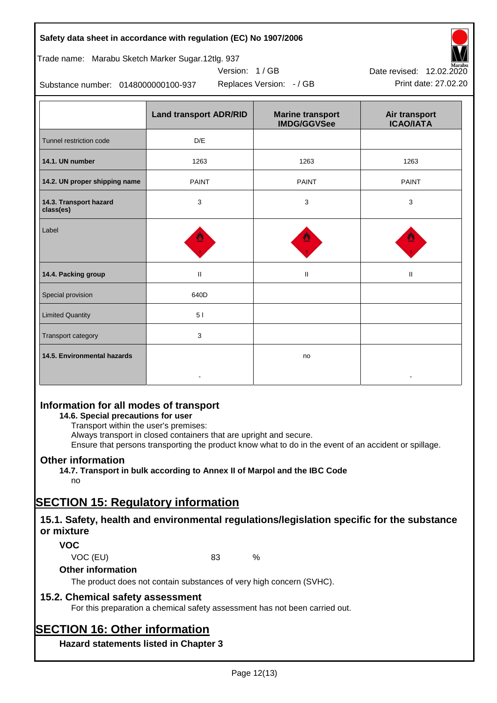### **Safety data sheet in accordance with regulation (EC) No 1907/2006**

| Trade name: Marabu Sketch Marker Sugar.12tlg. 937 |  |  |  |
|---------------------------------------------------|--|--|--|
|                                                   |  |  |  |

Substance number: 0148000000100-937

|                                     | <b>Land transport ADR/RID</b> | <b>Marine transport</b><br><b>IMDG/GGVSee</b> | Air transport<br><b>ICAO/IATA</b> |  |
|-------------------------------------|-------------------------------|-----------------------------------------------|-----------------------------------|--|
| Tunnel restriction code             | D/E                           |                                               |                                   |  |
| 14.1. UN number                     | 1263                          | 1263                                          | 1263                              |  |
| 14.2. UN proper shipping name       | <b>PAINT</b>                  | <b>PAINT</b>                                  | <b>PAINT</b>                      |  |
| 14.3. Transport hazard<br>class(es) | 3                             | 3                                             | 3                                 |  |
| Label                               |                               |                                               |                                   |  |
| 14.4. Packing group                 | $\rm H$                       | $\mathbf{H}$                                  | Ш                                 |  |
| Special provision                   | 640D                          |                                               |                                   |  |
| <b>Limited Quantity</b>             | 5 <sub>1</sub>                |                                               |                                   |  |
| <b>Transport category</b>           | 3                             |                                               |                                   |  |
| 14.5. Environmental hazards         |                               | no                                            |                                   |  |

Version: 1 / GB

## **Information for all modes of transport**

### **14.6. Special precautions for user**

Transport within the user's premises:

Always transport in closed containers that are upright and secure.

Ensure that persons transporting the product know what to do in the event of an accident or spillage.

## **Other information**

**14.7. Transport in bulk according to Annex II of Marpol and the IBC Code**

# no

# **SECTION 15: Regulatory information**

# **15.1. Safety, health and environmental regulations/legislation specific for the substance or mixture**

### **VOC**

VOC (EU) 83 %

### **Other information**

The product does not contain substances of very high concern (SVHC).

## **15.2. Chemical safety assessment**

For this preparation a chemical safety assessment has not been carried out.

# **SECTION 16: Other information**

**Hazard statements listed in Chapter 3**



Replaces Version: - / GB Print date: 27.02.20 Date revised: 12.02.2020